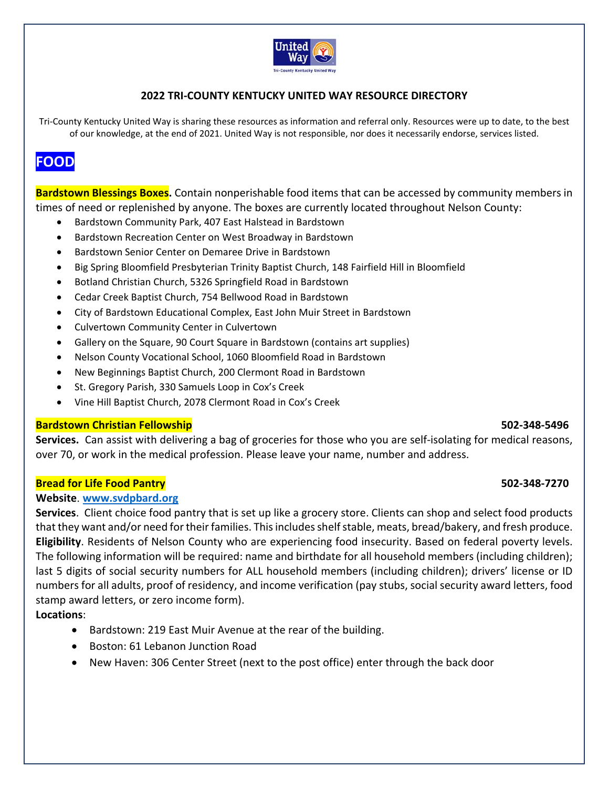

## **2022 TRI‐COUNTY KENTUCKY UNITED WAY RESOURCE DIRECTORY**

Tri-County Kentucky United Way is sharing these resources as information and referral only. Resources were up to date, to the best of our knowledge, at the end of 2021. United Way is not responsible, nor does it necessarily endorse, services listed.

# **FOOD**

**Bardstown Blessings Boxes.** Contain nonperishable food items that can be accessed by community members in times of need or replenished by anyone. The boxes are currently located throughout Nelson County:

- Bardstown Community Park, 407 East Halstead in Bardstown
- Bardstown Recreation Center on West Broadway in Bardstown
- Bardstown Senior Center on Demaree Drive in Bardstown
- Big Spring Bloomfield Presbyterian Trinity Baptist Church, 148 Fairfield Hill in Bloomfield
- Botland Christian Church, 5326 Springfield Road in Bardstown
- Cedar Creek Baptist Church, 754 Bellwood Road in Bardstown
- City of Bardstown Educational Complex, East John Muir Street in Bardstown
- Culvertown Community Center in Culvertown
- Gallery on the Square, 90 Court Square in Bardstown (contains art supplies)
- Nelson County Vocational School, 1060 Bloomfield Road in Bardstown
- New Beginnings Baptist Church, 200 Clermont Road in Bardstown
- St. Gregory Parish, 330 Samuels Loop in Cox's Creek
- Vine Hill Baptist Church, 2078 Clermont Road in Cox's Creek

#### **Bardstown Christian Fellowship 502‐348‐5496**

**Services.**  Can assist with delivering a bag of groceries for those who you are self‐isolating for medical reasons, over 70, or work in the medical profession. Please leave your name, number and address.

#### **Bread for Life Food Pantry 502‐348‐7270**

#### **Website**. **www.svdpbard.org**

**Services**. Client choice food pantry that is set up like a grocery store. Clients can shop and select food products that they want and/or need for their families. This includes shelf stable, meats, bread/bakery, and fresh produce. **Eligibility**. Residents of Nelson County who are experiencing food insecurity. Based on federal poverty levels. The following information will be required: name and birthdate for all household members (including children); last 5 digits of social security numbers for ALL household members (including children); drivers' license or ID numbers for all adults, proof of residency, and income verification (pay stubs, social security award letters, food stamp award letters, or zero income form).

**Locations**:

- Bardstown: 219 East Muir Avenue at the rear of the building.
- Boston: 61 Lebanon Junction Road
- New Haven: 306 Center Street (next to the post office) enter through the back door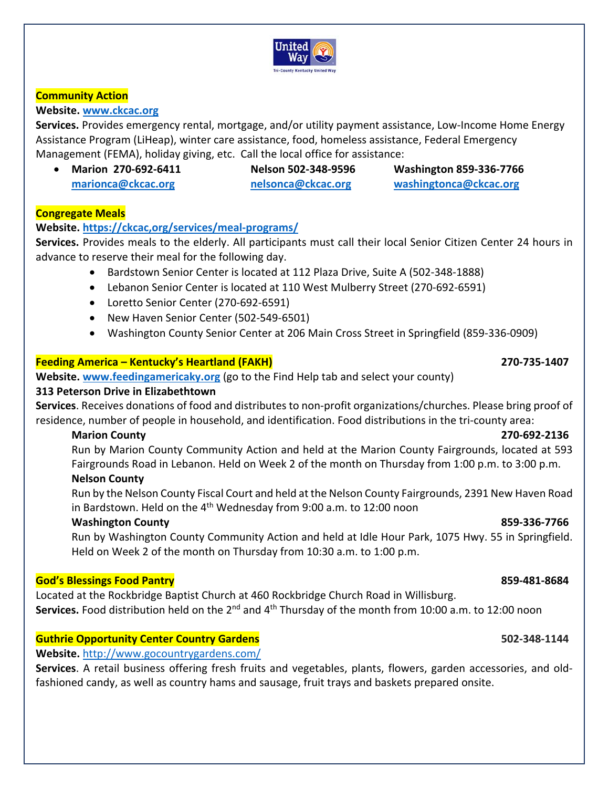

### **Community Action**

#### **Website. www.ckcac.org**

**Services.** Provides emergency rental, mortgage, and/or utility payment assistance, Low‐Income Home Energy Assistance Program (LiHeap), winter care assistance, food, homeless assistance, Federal Emergency Management (FEMA), holiday giving, etc. Call the local office for assistance:

- **Marion 270‐692‐6411 Nelson 502‐348‐9596 Washington 859‐336‐7766**
- 

**marionca@ckcac.org nelsonca@ckcac.org washingtonca@ckcac.org**

#### **Congregate Meals**

# **Website. https://ckcac,org/services/meal‐programs/**

**Services.** Provides meals to the elderly. All participants must call their local Senior Citizen Center 24 hours in advance to reserve their meal for the following day.

- Bardstown Senior Center is located at 112 Plaza Drive, Suite A (502-348-1888)
- Lebanon Senior Center is located at 110 West Mulberry Street (270‐692‐6591)
- Loretto Senior Center (270‐692‐6591)
- New Haven Senior Center (502-549-6501)
- Washington County Senior Center at 206 Main Cross Street in Springfield (859‐336‐0909)

## **Feeding America – Kentucky's Heartland (FAKH) 270‐735‐1407**

**Website. www.feedingamericaky.org** (go to the Find Help tab and select your county)

#### **313 Peterson Drive in Elizabethtown**

**Services**. Receives donations of food and distributes to non‐profit organizations/churches. Please bring proof of residence, number of people in household, and identification. Food distributions in the tri‐county area:

#### **Marion County 270‐692‐2136**

Run by Marion County Community Action and held at the Marion County Fairgrounds, located at 593 Fairgrounds Road in Lebanon. Held on Week 2 of the month on Thursday from 1:00 p.m. to 3:00 p.m.

# **Nelson County**

Run by the Nelson County Fiscal Court and held at the Nelson County Fairgrounds, 2391 New Haven Road in Bardstown. Held on the  $4<sup>th</sup>$  Wednesday from 9:00 a.m. to 12:00 noon

#### **Washington County 859‐336‐7766**

Run by Washington County Community Action and held at Idle Hour Park, 1075 Hwy. 55 in Springfield. Held on Week 2 of the month on Thursday from 10:30 a.m. to 1:00 p.m.

#### **God's Blessings Food Pantry 859‐481‐8684**

Located at the Rockbridge Baptist Church at 460 Rockbridge Church Road in Willisburg. Services. Food distribution held on the 2<sup>nd</sup> and 4<sup>th</sup> Thursday of the month from 10:00 a.m. to 12:00 noon

# **Guthrie Opportunity Center Country Gardens 502‐348‐1144**

# **Website.** http://www.gocountrygardens.com/

Services. A retail business offering fresh fruits and vegetables, plants, flowers, garden accessories, and oldfashioned candy, as well as country hams and sausage, fruit trays and baskets prepared onsite.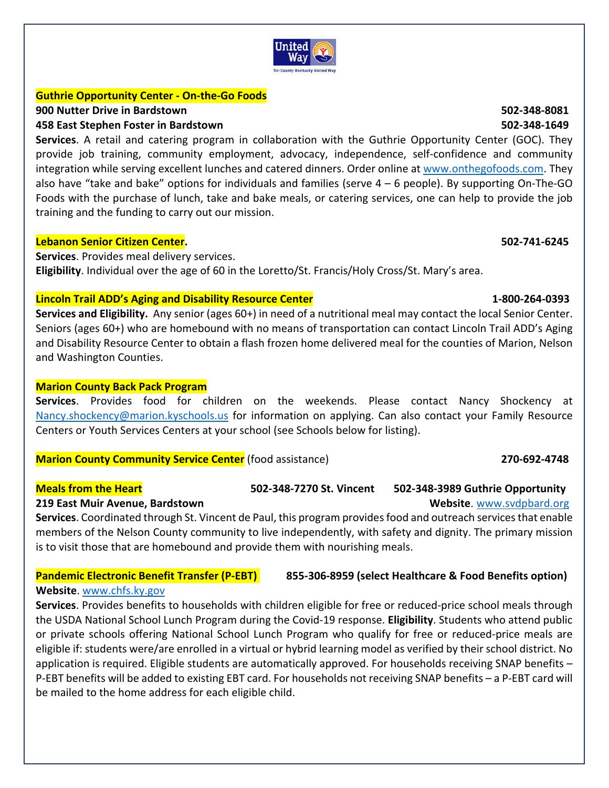

## **Guthrie Opportunity Center ‐ On‐the‐Go Foods**

### **900 Nutter Drive in Bardstown 502‐348‐8081**

### **458 East Stephen Foster in Bardstown 502‐348‐1649**

**Services**. A retail and catering program in collaboration with the Guthrie Opportunity Center (GOC). They provide job training, community employment, advocacy, independence, self-confidence and community integration while serving excellent lunches and catered dinners. Order online at www.onthegofoods.com. They also have "take and bake" options for individuals and families (serve 4 – 6 people). By supporting On‐The‐GO Foods with the purchase of lunch, take and bake meals, or catering services, one can help to provide the job training and the funding to carry out our mission.

### **Lebanon Senior Citizen Center. 502‐741‐6245**

**Services**. Provides meal delivery services. **Eligibility**. Individual over the age of 60 in the Loretto/St. Francis/Holy Cross/St. Mary's area.

## **Lincoln Trail ADD's Aging and Disability Resource Center 1‐800‐264‐0393**

**Services and Eligibility.**  Any senior (ages 60+) in need of a nutritional meal may contact the local Senior Center. Seniors (ages 60+) who are homebound with no means of transportation can contact Lincoln Trail ADD's Aging and Disability Resource Center to obtain a flash frozen home delivered meal for the counties of Marion, Nelson and Washington Counties.

## **Marion County Back Pack Program**

**Services**. Provides food for children on the weekends. Please contact Nancy Shockency at Nancy.shockency@marion.kyschools.us for information on applying. Can also contact your Family Resource Centers or Youth Services Centers at your school (see Schools below for listing).

#### **Marion County Community Service Center** (food assistance) **270‐692‐4748**

#### **Meals from the Heart 502‐348‐7270 St. Vincent 502‐348‐3989 Guthrie Opportunity**

#### **219 East Muir Avenue, Bardstown <br>
<b>219 East Muir Avenue, Bardstown Website**. www.svdpbard.org

**Services**. Coordinated through St. Vincent de Paul, this program provides food and outreach services that enable members of the Nelson County community to live independently, with safety and dignity. The primary mission is to visit those that are homebound and provide them with nourishing meals.

# **Pandemic Electronic Benefit Transfer (P-EBT)** 855-306-8959 (select Healthcare & Food Benefits option)

### **Website**. www.chfs.ky.gov

**Services**. Provides benefits to households with children eligible for free or reduced‐price school meals through the USDA National School Lunch Program during the Covid‐19 response. **Eligibility**. Students who attend public or private schools offering National School Lunch Program who qualify for free or reduced-price meals are eligible if: students were/are enrolled in a virtual or hybrid learning model as verified by their school district. No application is required. Eligible students are automatically approved. For households receiving SNAP benefits – P‐EBT benefits will be added to existing EBT card. For households not receiving SNAP benefits – a P‐EBT card will be mailed to the home address for each eligible child.